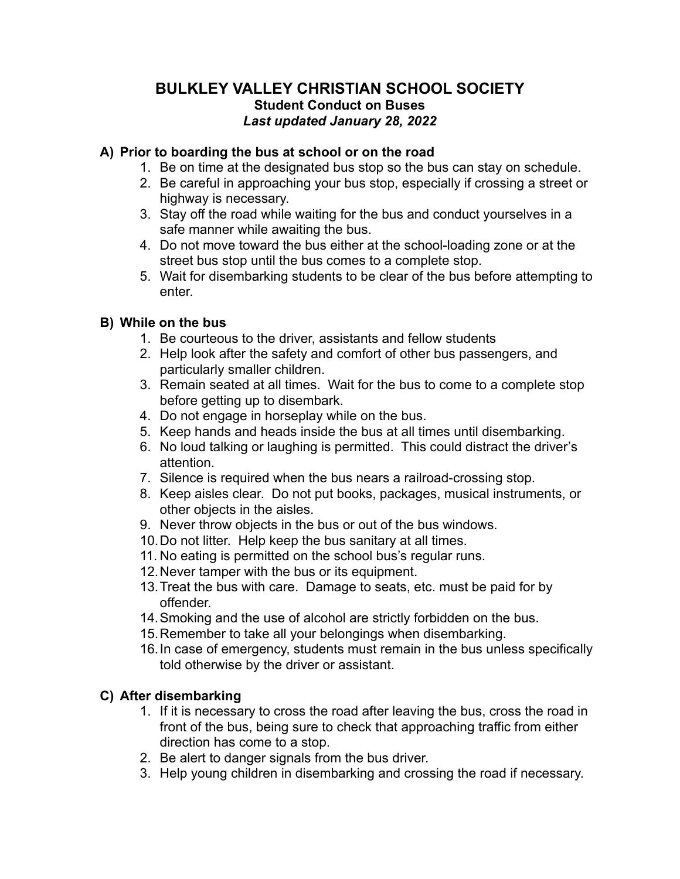## **BULKLEY VALLEY CHRISTIAN SCHOOL SOCIETY Student Conduct on Buses** *Last updated January 28, 2022*

#### **A) Prior to boarding the bus at school or on the road**

- 1. Be on time at the designated bus stop so the bus can stay on schedule.
- 2. Be careful in approaching your bus stop, especially if crossing a street or highway is necessary.
- 3. Stay off the road while waiting for the bus and conduct yourselves in a safe manner while awaiting the bus.
- 4. Do not move toward the bus either at the school-loading zone or at the street bus stop until the bus comes to a complete stop.
- 5. Wait for disembarking students to be clear of the bus before attempting to enter.

### **B) While on the bus**

- 1. Be courteous to the driver, assistants and fellow students
- 2. Help look after the safety and comfort of other bus passengers, and particularly smaller children.
- 3. Remain seated at all times. Wait for the bus to come to a complete stop before getting up to disembark.
- 4. Do not engage in horseplay while on the bus.
- 5. Keep hands and heads inside the bus at all times until disembarking.
- 6. No loud talking or laughing is permitted. This could distract the driver's attention.
- 7. Silence is required when the bus nears a railroad-crossing stop.
- 8. Keep aisles clear. Do not put books, packages, musical instruments, or other objects in the aisles.
- 9. Never throw objects in the bus or out of the bus windows.
- 10.Do not litter. Help keep the bus sanitary at all times.
- 11. No eating is permitted on the school bus's regular runs.
- 12.Never tamper with the bus or its equipment.
- 13.Treat the bus with care. Damage to seats, etc. must be paid for by offender.
- 14.Smoking and the use of alcohol are strictly forbidden on the bus.
- 15.Remember to take all your belongings when disembarking.
- 16.In case of emergency, students must remain in the bus unless specifically told otherwise by the driver or assistant.

### **C) After disembarking**

- 1. If it is necessary to cross the road after leaving the bus, cross the road in front of the bus, being sure to check that approaching traffic from either direction has come to a stop.
- 2. Be alert to danger signals from the bus driver.
- 3. Help young children in disembarking and crossing the road if necessary.